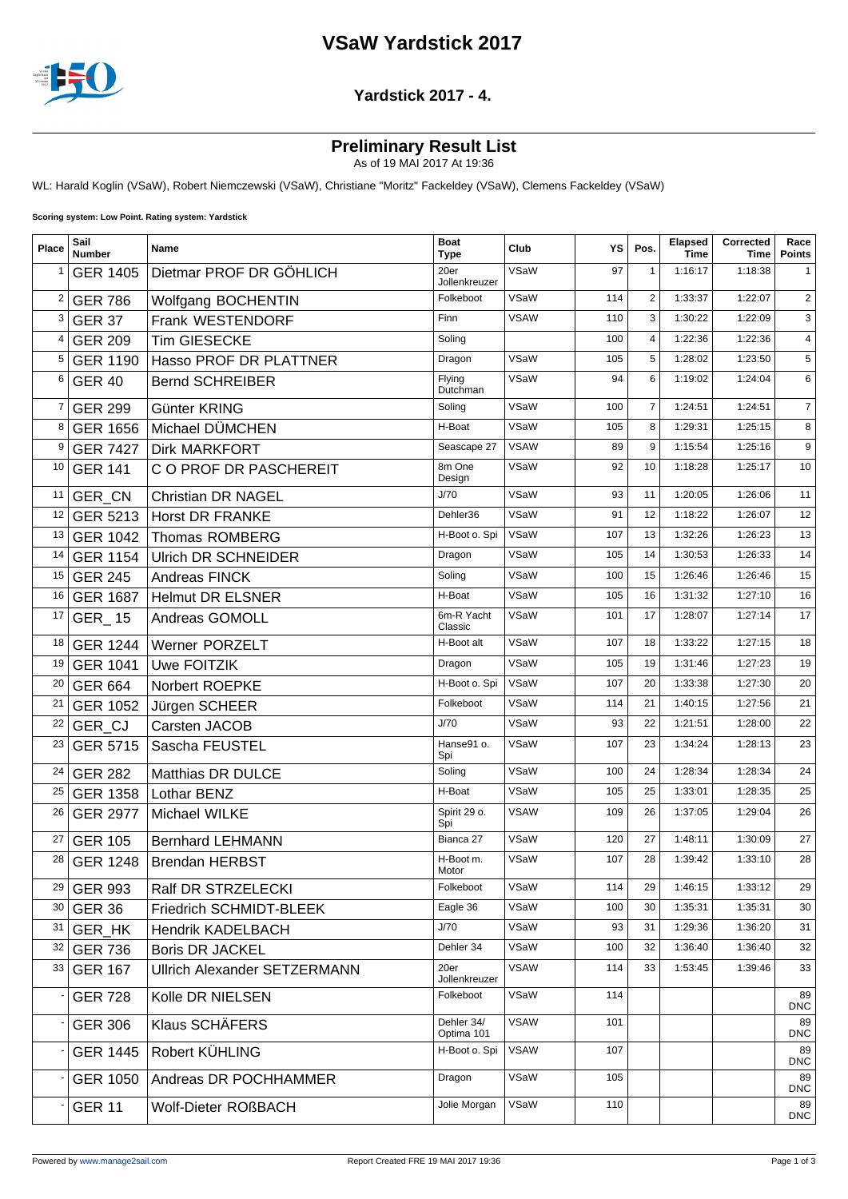# **VSaW Yardstick 2017**



#### **Yardstick 2017 - 4.**

### **Preliminary Result List**

As of 19 MAI 2017 At 19:36

WL: Harald Koglin (VSaW), Robert Niemczewski (VSaW), Christiane "Moritz" Fackeldey (VSaW), Clemens Fackeldey (VSaW)

**Scoring system: Low Point. Rating system: Yardstick**

| Place | Sail<br><b>Number</b> | Name                                | <b>Boat</b><br><b>Type</b> | Club        | ΥS  | Pos.           | <b>Elapsed</b><br><b>Time</b> | Corrected<br>Time | Race<br><b>Points</b> |
|-------|-----------------------|-------------------------------------|----------------------------|-------------|-----|----------------|-------------------------------|-------------------|-----------------------|
|       | <b>GER 1405</b>       | Dietmar PROF DR GÖHLICH             | 20er<br>Jollenkreuzer      | VSaW        | 97  | $\mathbf{1}$   | 1:16:17                       | 1:18:38           | 1                     |
| 2     | <b>GER 786</b>        | Wolfgang BOCHENTIN                  | Folkeboot                  | VSaW        | 114 | $\overline{2}$ | 1:33:37                       | 1:22:07           | 2                     |
| 3     | <b>GER 37</b>         | Frank WESTENDORF                    | Finn                       | <b>VSAW</b> | 110 | 3              | 1:30:22                       | 1:22:09           | 3                     |
| 4     | <b>GER 209</b>        | <b>Tim GIESECKE</b>                 | Soling                     |             | 100 | 4              | 1:22:36                       | 1:22:36           | 4                     |
| 5     | <b>GER 1190</b>       | Hasso PROF DR PLATTNER              | Dragon                     | VSaW        | 105 | 5              | 1:28:02                       | 1:23:50           | 5                     |
| 6     | <b>GER 40</b>         | <b>Bernd SCHREIBER</b>              | Flying<br>Dutchman         | VSaW        | 94  | 6              | 1:19:02                       | 1:24:04           | 6                     |
| 7     | <b>GER 299</b>        | Günter KRING                        | Soling                     | VSaW        | 100 | $\overline{7}$ | 1:24:51                       | 1:24:51           | $\overline{7}$        |
| 8     | <b>GER 1656</b>       | Michael DÜMCHEN                     | H-Boat                     | VSaW        | 105 | 8              | 1:29:31                       | 1:25:15           | 8                     |
| 9     | <b>GER 7427</b>       | <b>Dirk MARKFORT</b>                | Seascape 27                | <b>VSAW</b> | 89  | 9              | 1:15:54                       | 1:25:16           | 9                     |
| 10    | <b>GER 141</b>        | C O PROF DR PASCHEREIT              | 8m One<br>Design           | VSaW        | 92  | 10             | 1:18:28                       | 1:25:17           | 10                    |
| 11    | GER_CN                | <b>Christian DR NAGEL</b>           | J/70                       | VSaW        | 93  | 11             | 1:20:05                       | 1:26:06           | 11                    |
| 12    |                       | GER 5213 Horst DR FRANKE            | Dehler36                   | VSaW        | 91  | 12             | 1:18:22                       | 1:26:07           | 12                    |
| 13    | <b>GER 1042</b>       | <b>Thomas ROMBERG</b>               | H-Boot o. Spi              | VSaW        | 107 | 13             | 1:32:26                       | 1:26:23           | 13                    |
| 14    | <b>GER 1154</b>       | <b>Ulrich DR SCHNEIDER</b>          | Dragon                     | VSaW        | 105 | 14             | 1:30:53                       | 1:26:33           | 14                    |
| 15    | <b>GER 245</b>        | <b>Andreas FINCK</b>                | Soling                     | VSaW        | 100 | 15             | 1:26:46                       | 1:26:46           | 15                    |
| 16    | <b>GER 1687</b>       | <b>Helmut DR ELSNER</b>             | H-Boat                     | VSaW        | 105 | 16             | 1:31:32                       | 1:27:10           | 16                    |
| 17    | GER_15                | Andreas GOMOLL                      | 6m-R Yacht<br>Classic      | VSaW        | 101 | 17             | 1:28:07                       | 1:27:14           | 17                    |
| 18    | <b>GER 1244</b>       | <b>Werner PORZELT</b>               | H-Boot alt                 | VSaW        | 107 | 18             | 1:33:22                       | 1:27:15           | 18                    |
| 19    | <b>GER 1041</b>       | Uwe FOITZIK                         | Dragon                     | VSaW        | 105 | 19             | 1:31:46                       | 1:27:23           | 19                    |
| 20    | <b>GER 664</b>        | Norbert ROEPKE                      | H-Boot o. Spi              | VSaW        | 107 | 20             | 1:33:38                       | 1:27:30           | 20                    |
| 21    | GER 1052              | Jürgen SCHEER                       | Folkeboot                  | VSaW        | 114 | 21             | 1:40:15                       | 1:27:56           | 21                    |
| 22    | GER CJ                | Carsten JACOB                       | J/70                       | VSaW        | 93  | 22             | 1:21:51                       | 1:28:00           | 22                    |
| 23    | <b>GER 5715</b>       | Sascha FEUSTEL                      | Hanse91 o.<br>Spi          | VSaW        | 107 | 23             | 1:34:24                       | 1:28:13           | 23                    |
| 24    | <b>GER 282</b>        | <b>Matthias DR DULCE</b>            | Soling                     | VSaW        | 100 | 24             | 1:28:34                       | 1:28:34           | 24                    |
| 25    | <b>GER 1358</b>       | Lothar BENZ                         | H-Boat                     | VSaW        | 105 | 25             | 1:33:01                       | 1:28:35           | 25                    |
| 26    | <b>GER 2977</b>       | Michael WILKE                       | Spirit 29 o.<br>Spi        | <b>VSAW</b> | 109 | 26             | 1:37:05                       | 1:29:04           | 26                    |
| 27    | <b>GER 105</b>        | <b>Bernhard LEHMANN</b>             | Bianca 27                  | VSaW        | 120 | 27             | 1:48:11                       | 1:30:09           | 27                    |
| 28    | <b>GER 1248</b>       | <b>Brendan HERBST</b>               | H-Boot m.<br>Motor         | VSaW        | 107 | 28             | 1:39:42                       | 1:33:10           | 28                    |
| 29    | <b>GER 993</b>        | Ralf DR STRZELECKI                  | Folkeboot                  | VSaW        | 114 | 29             | 1:46:15                       | 1:33:12           | 29                    |
| 30    | <b>GER 36</b>         | Friedrich SCHMIDT-BLEEK             | Eagle 36                   | VSaW        | 100 | 30             | 1:35:31                       | 1:35:31           | 30                    |
| 31    | <b>GER HK</b>         | <b>Hendrik KADELBACH</b>            | J/70                       | VSaW        | 93  | 31             | 1:29:36                       | 1:36:20           | 31                    |
| 32    | <b>GER 736</b>        | <b>Boris DR JACKEL</b>              | Dehler 34                  | VSaW        | 100 | 32             | 1:36:40                       | 1:36:40           | 32                    |
| 33    | <b>GER 167</b>        | <b>Ullrich Alexander SETZERMANN</b> | 20er<br>Jollenkreuzer      | <b>VSAW</b> | 114 | 33             | 1:53:45                       | 1:39:46           | 33                    |
|       | <b>GER 728</b>        | Kolle DR NIELSEN                    | Folkeboot                  | VSaW        | 114 |                |                               |                   | 89<br><b>DNC</b>      |
|       | <b>GER 306</b>        | Klaus SCHÄFERS                      | Dehler 34/<br>Optima 101   | <b>VSAW</b> | 101 |                |                               |                   | 89<br><b>DNC</b>      |
|       | <b>GER 1445</b>       | Robert KÜHLING                      | H-Boot o. Spi              | <b>VSAW</b> | 107 |                |                               |                   | 89<br><b>DNC</b>      |
|       | <b>GER 1050</b>       | Andreas DR POCHHAMMER               | Dragon                     | VSaW        | 105 |                |                               |                   | 89<br><b>DNC</b>      |
|       | <b>GER 11</b>         | Wolf-Dieter ROßBACH                 | Jolie Morgan               | VSaW        | 110 |                |                               |                   | 89<br><b>DNC</b>      |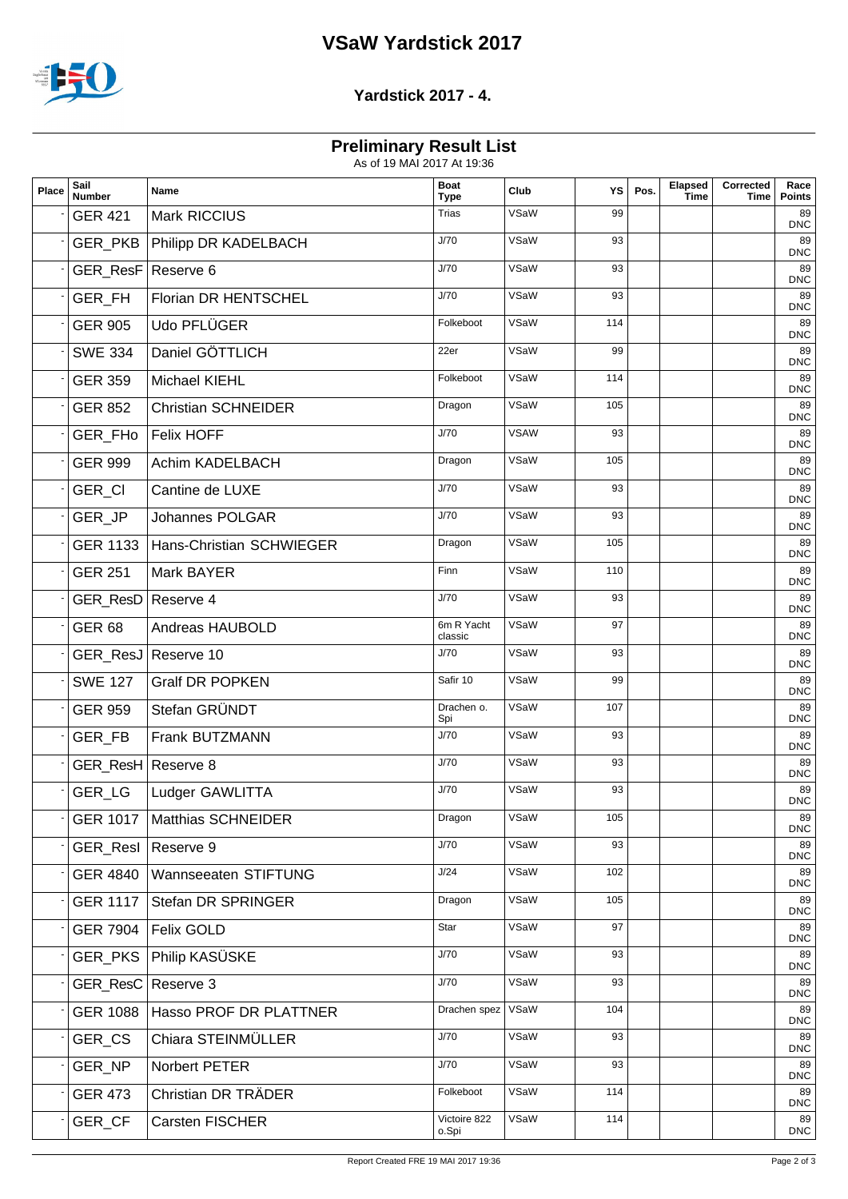# **VSaW Yardstick 2017**



#### **Yardstick 2017 - 4.**

## **Preliminary Result List**

As of 19 MAI 2017 At 19:36

| Place | Sail<br><b>Number</b> | Name                                | <b>Boat</b><br><b>Type</b> | Club        | YS  | Pos. | Elapsed<br><b>Time</b> | Corrected<br>Time | Race<br><b>Points</b> |
|-------|-----------------------|-------------------------------------|----------------------------|-------------|-----|------|------------------------|-------------------|-----------------------|
|       | <b>GER 421</b>        | Mark RICCIUS                        | <b>Trias</b>               | VSaW        | 99  |      |                        |                   | 89<br><b>DNC</b>      |
|       |                       | GER_PKB   Philipp DR KADELBACH      | J/70                       | VSaW        | 93  |      |                        |                   | 89<br><b>DNC</b>      |
|       | GER_ResF Reserve 6    |                                     | J/70                       | VSaW        | 93  |      |                        |                   | 89<br><b>DNC</b>      |
|       | <b>GER FH</b>         | Florian DR HENTSCHEL                | J/70                       | VSaW        | 93  |      |                        |                   | 89<br><b>DNC</b>      |
|       | <b>GER 905</b>        | Udo PFLÜGER                         | Folkeboot                  | VSaW        | 114 |      |                        |                   | 89<br><b>DNC</b>      |
|       | <b>SWE 334</b>        | Daniel GÖTTLICH                     | 22er                       | VSaW        | 99  |      |                        |                   | 89<br><b>DNC</b>      |
|       | <b>GER 359</b>        | <b>Michael KIEHL</b>                | Folkeboot                  | VSaW        | 114 |      |                        |                   | 89<br><b>DNC</b>      |
|       | <b>GER 852</b>        | <b>Christian SCHNEIDER</b>          | Dragon                     | VSaW        | 105 |      |                        |                   | 89<br><b>DNC</b>      |
|       | GER_FH <sub>o</sub>   | <b>Felix HOFF</b>                   | J/70                       | <b>VSAW</b> | 93  |      |                        |                   | 89<br><b>DNC</b>      |
|       | <b>GER 999</b>        | Achim KADELBACH                     | Dragon                     | VSaW        | 105 |      |                        |                   | 89<br><b>DNC</b>      |
|       | GER_CI                | Cantine de LUXE                     | J/70                       | VSaW        | 93  |      |                        |                   | 89<br><b>DNC</b>      |
|       | GER JP                | Johannes POLGAR                     | J/70                       | VSaW        | 93  |      |                        |                   | 89<br><b>DNC</b>      |
|       |                       | GER 1133   Hans-Christian SCHWIEGER | Dragon                     | VSaW        | 105 |      |                        |                   | 89<br><b>DNC</b>      |
|       | <b>GER 251</b>        | <b>Mark BAYER</b>                   | Finn                       | VSaW        | 110 |      |                        |                   | 89<br><b>DNC</b>      |
|       | GER_ResD Reserve 4    |                                     | J/70                       | VSaW        | 93  |      |                        |                   | 89<br><b>DNC</b>      |
|       | <b>GER 68</b>         | Andreas HAUBOLD                     | 6m R Yacht<br>classic      | VSaW        | 97  |      |                        |                   | 89<br><b>DNC</b>      |
|       |                       | GER_ResJ Reserve 10                 | J/70                       | VSaW        | 93  |      |                        |                   | 89<br><b>DNC</b>      |
|       | <b>SWE 127</b>        | <b>Gralf DR POPKEN</b>              | Safir 10                   | VSaW        | 99  |      |                        |                   | 89<br><b>DNC</b>      |
|       | <b>GER 959</b>        | Stefan GRÜNDT                       | Drachen o.<br>Spi          | VSaW        | 107 |      |                        |                   | 89<br><b>DNC</b>      |
|       | GER_FB                | Frank BUTZMANN                      | J/70                       | VSaW        | 93  |      |                        |                   | 89<br><b>DNC</b>      |
|       | GER_ResH Reserve 8    |                                     | J/70                       | VSaW        | 93  |      |                        |                   | 89<br><b>DNC</b>      |
|       | <b>GER LG</b>         | Ludger GAWLITTA                     | J/70                       | VSaW        | 93  |      |                        |                   | 89<br><b>DNC</b>      |
|       | GER 1017              | Matthias SCHNEIDER                  | Dragon                     | VSaW        | 105 |      |                        |                   | 89<br><b>DNC</b>      |
|       | GER_ResI   Reserve 9  |                                     | J/70                       | VSaW        | 93  |      |                        |                   | 89<br><b>DNC</b>      |
|       | GER 4840              | Wannseeaten STIFTUNG                | J/24                       | VSaW        | 102 |      |                        |                   | 89<br><b>DNC</b>      |
|       | <b>GER 1117</b>       | Stefan DR SPRINGER                  | Dragon                     | VSaW        | 105 |      |                        |                   | 89<br><b>DNC</b>      |
|       | <b>GER 7904</b>       | Felix GOLD                          | Star                       | VSaW        | 97  |      |                        |                   | 89<br><b>DNC</b>      |
|       |                       | GER_PKS   Philip KASÜSKE            | J/70                       | VSaW        | 93  |      |                        |                   | 89<br><b>DNC</b>      |
|       | GER_ResC   Reserve 3  |                                     | J/70                       | VSaW        | 93  |      |                        |                   | 89<br><b>DNC</b>      |
|       | <b>GER 1088</b>       | Hasso PROF DR PLATTNER              | Drachen spez               | VSaW        | 104 |      |                        |                   | 89<br><b>DNC</b>      |
|       | GER_CS                | Chiara STEINMÜLLER                  | J/70                       | VSaW        | 93  |      |                        |                   | 89<br><b>DNC</b>      |
|       | GER_NP                | Norbert PETER                       | J/70                       | VSaW        | 93  |      |                        |                   | 89<br><b>DNC</b>      |
|       | <b>GER 473</b>        | Christian DR TRÄDER                 | Folkeboot                  | VSaW        | 114 |      |                        |                   | 89<br><b>DNC</b>      |
|       | GER_CF                | Carsten FISCHER                     | Victoire 822<br>o.Spi      | VSaW        | 114 |      |                        |                   | 89<br><b>DNC</b>      |
|       |                       |                                     |                            |             |     |      |                        |                   |                       |